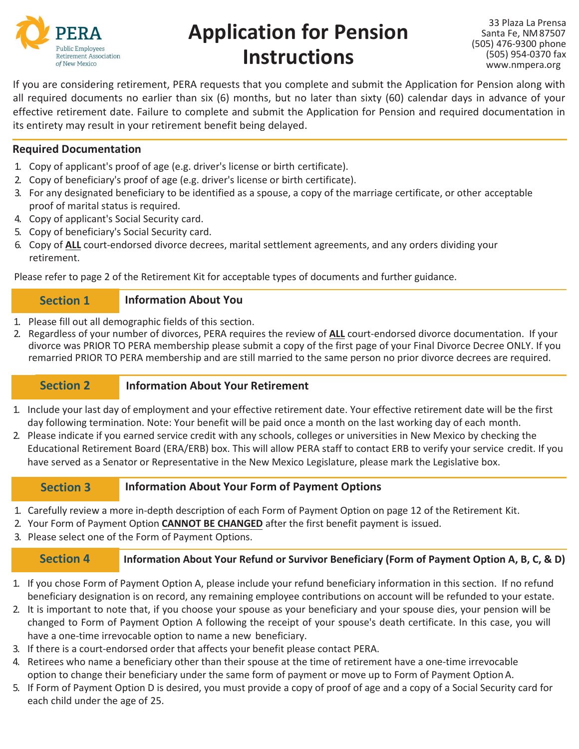

# **Application for Pension Instructions**

33 Plaza La Prensa Santa Fe, NM87507 (505) 476-9300 phone (505) 954-0370 fax [www.nmpera.org](http://www.nmpera.org/)

If you are considering retirement, PERA requests that you complete and submit the Application for Pension along with all required documents no earlier than six (6) months, but no later than sixty (60) calendar days in advance of your effective retirement date. Failure to complete and submit the Application for Pension and required documentation in its entirety may result in your retirement benefit being delayed.

## **Required Documentation**

- 1. Copy of applicant's proof of age (e.g. driver's license or birth certificate).
- 2. Copy of beneficiary's proof of age (e.g. driver's license or birth certificate).
- 3. For any designated beneficiary to be identified as a spouse, a copy of the marriage certificate, or other acceptable proof of marital status is required.
- 4. Copy of applicant's Social Security card.
- 5. Copy of beneficiary's Social Security card.
- 6. Copy of **ALL** court-endorsed divorce decrees, marital settlement agreements, and any orders dividing your retirement.

Please refer to page 2 of the Retirement Kit for acceptable types of documents and further guidance.

#### **Information About You Section 1**

- 1. Please fill out all demographic fields of this section.
- 2. Regardless of your number of divorces, PERA requires the review of **ALL** court-endorsed divorce documentation. If your divorce was PRIOR TO PERA membership please submit a copy of the first page of your Final Divorce Decree ONLY. If you remarried PRIOR TO PERA membership and are still married to the same person no prior divorce decrees are required.

#### **Information About Your Retirement Section 2**

- 1. Include your last day of employment and your effective retirement date. Your effective retirement date will be the first day following termination. Note: Your benefit will be paid once a month on the last working day of each month.
- 2. Please indicate if you earned service credit with any schools, colleges or universities in New Mexico by checking the Educational Retirement Board (ERA/ERB) box. This will allow PERA staff to contact ERB to verify your service credit. If you have served as a Senator or Representative in the New Mexico Legislature, please mark the Legislative box.

#### **Information About Your Form of Payment Options Section 3**

- 1. Carefully review a more in-depth description of each Form of Payment Option on page 12 of the Retirement Kit.
- 2. Your Form of Payment Option **CANNOT BE CHANGED** after the first benefit payment is issued.
- 3. Please select one of the Form of Payment Options.

**Information About Your Refund or Survivor Beneficiary (Form of Payment Option A, B, C, & D) Section 4**

- 1. If you chose Form of Payment Option A, please include your refund beneficiary information in this section. If no refund beneficiary designation is on record, any remaining employee contributions on account will be refunded to your estate.
- 2. It is important to note that, if you choose your spouse as your beneficiary and your spouse dies, your pension will be changed to Form of Payment Option A following the receipt of your spouse's death certificate. In this case, you will have a one-time irrevocable option to name a new beneficiary.
- 3. If there is a court-endorsed order that affects your benefit please contact PERA.
- 4. Retirees who name a beneficiary other than their spouse at the time of retirement have a one-time irrevocable option to change their beneficiary under the same form of payment or move up to Form of Payment OptionA.
- 5. If Form of Payment Option D is desired, you must provide a copy of proof of age and a copy of a Social Security card for each child under the age of 25.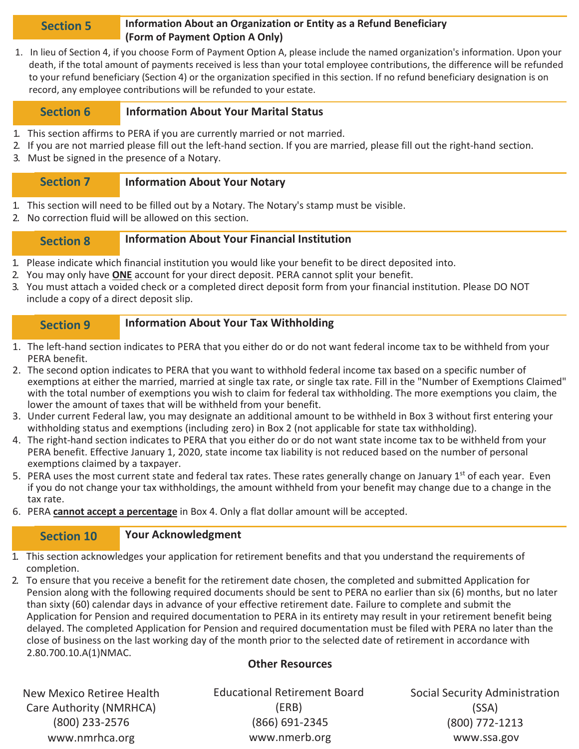### **Information About an Organization or Entity as a Refund Beneficiary (Form of Payment Option A Only) Section 5**

1. In lieu of Section 4, if you choose Form of Payment Option A, please include the named organization's information. Upon your death, if the total amount of payments received is less than your total employee contributions, the difference will be refunded to your refund beneficiary (Section 4) or the organization specified in this section. If no refund beneficiary designation is on record, any employee contributions will be refunded to your estate.

#### **Information About Your Marital Status Section 6**

- 1. This section affirms to PERA if you are currently married or not married.
- 2. If you are not married please fill out the left-hand section. If you are married, please fill out the right-hand section.
- 3. Must be signed in the presence of a Notary.

#### **Information About Your Notary Section 7**

- 1. This section will need to be filled out by a Notary. The Notary's stamp must be visible.
- 2. No correction fluid will be allowed on this section.

#### **Information About Your Financial Institution Section 8**

- 1. Please indicate which financial institution you would like your benefit to be direct deposited into.
- 2. You may only have **ONE** account for your direct deposit. PERA cannot split your benefit.
- 3. You must attach a voided check or a completed direct deposit form from your financial institution. Please DO NOT include a copy of a direct deposit slip.

#### **Information About Your Tax Withholding Section 9**

- 1. The left-hand section indicates to PERA that you either do or do not want federal income tax to be withheld from your PERA benefit.
- 2. The second option indicates to PERA that you want to withhold federal income tax based on a specific number of exemptions at either the married, married at single tax rate, or single tax rate. Fill in the "Number of Exemptions Claimed" with the total number of exemptions you wish to claim for federal tax withholding. The more exemptions you claim, the lower the amount of taxes that will be withheld from your benefit.
- 3. Under current Federal law, you may designate an additional amount to be withheld in Box 3 without first entering your withholding status and exemptions (including zero) in Box 2 (not applicable for state tax withholding).
- 4. The right-hand section indicates to PERA that you either do or do not want state income tax to be withheld from your PERA benefit. Effective January 1, 2020, state income tax liability is not reduced based on the number of personal exemptions claimed by a taxpayer.
- 5. PERA uses the most current state and federal tax rates. These rates generally change on January  $1^{st}$  of each year. Even if you do not change your tax withholdings, the amount withheld from your benefit may change due to a change in the tax rate.
- 6. PERA **cannot accept a percentage** in Box 4. Only a flat dollar amount will be accepted.

#### **Your Acknowledgment Section 10**

- 1. This section acknowledges your application for retirement benefits and that you understand the requirements of completion.
- 2. To ensure that you receive a benefit for the retirement date chosen, the completed and submitted Application for Pension along with the following required documents should be sent to PERA no earlier than six (6) months, but no later than sixty (60) calendar days in advance of your effective retirement date. Failure to complete and submit the Application for Pension and required documentation to PERA in its entirety may result in your retirement benefit being delayed. The completed Application for Pension and required documentation must be filed with PERA no later than the close of business on the last working day of the month prior to the selected date of retirement in accordance with 2.80.700.10.A(1)NMAC.

## **Other Resources**

New Mexico Retiree Health Care Authority (NMRHCA) (800) 233-2576 [www.nmrhca.org](http://www.nmrhca.org/)

Educational Retirement Board (ERB) (866) 691-2345 [www.nmerb.org](http://www.nmerb.org/)

Social Security Administration (SSA) (800) 772-1213 [www.ssa.gov](http://www.ssa.gov/)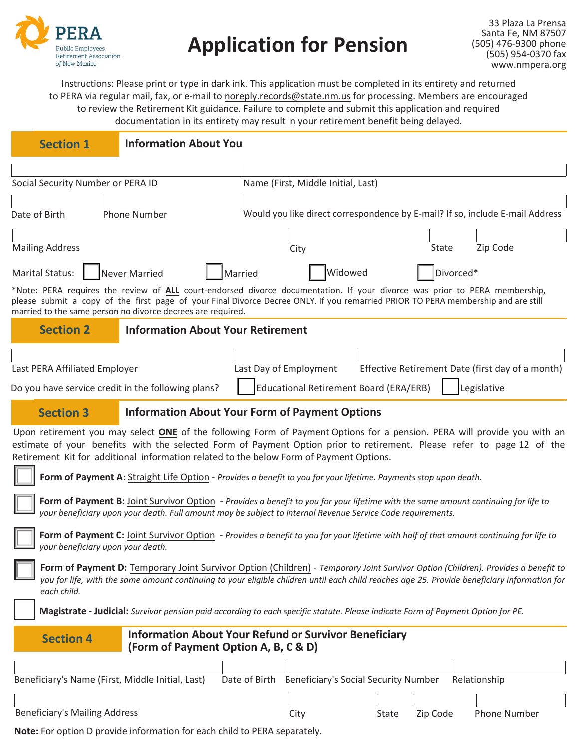

## **Application for Pension**

Instructions: Please print or type in dark ink. This application must be completed in its entirety and returned to PERA via regular mail, fax, or e-mail to noreply.records@state.nm.us for processing. Members are encouraged to review the Retirement Kit guidance. Failure to complete and submit this application and required documentation in its entirety may result in your retirement benefit being delayed.

| <b>Section 1</b>                                                                                                                                                                                                                                                                                                                              | <b>Information About You</b>                                                                         |                        |                                             |       |           |                                                                               |  |  |
|-----------------------------------------------------------------------------------------------------------------------------------------------------------------------------------------------------------------------------------------------------------------------------------------------------------------------------------------------|------------------------------------------------------------------------------------------------------|------------------------|---------------------------------------------|-------|-----------|-------------------------------------------------------------------------------|--|--|
|                                                                                                                                                                                                                                                                                                                                               |                                                                                                      |                        |                                             |       |           |                                                                               |  |  |
| Social Security Number or PERA ID                                                                                                                                                                                                                                                                                                             |                                                                                                      |                        | Name (First, Middle Initial, Last)          |       |           |                                                                               |  |  |
|                                                                                                                                                                                                                                                                                                                                               |                                                                                                      |                        |                                             |       |           |                                                                               |  |  |
| Date of Birth                                                                                                                                                                                                                                                                                                                                 | <b>Phone Number</b>                                                                                  |                        |                                             |       |           | Would you like direct correspondence by E-mail? If so, include E-mail Address |  |  |
|                                                                                                                                                                                                                                                                                                                                               |                                                                                                      |                        |                                             |       |           |                                                                               |  |  |
| <b>Mailing Address</b>                                                                                                                                                                                                                                                                                                                        |                                                                                                      |                        | City                                        |       | State     | Zip Code                                                                      |  |  |
| Never Married<br><b>Marital Status:</b>                                                                                                                                                                                                                                                                                                       |                                                                                                      | Married                | Widowed                                     |       | Divorced* |                                                                               |  |  |
| *Note: PERA requires the review of ALL court-endorsed divorce documentation. If your divorce was prior to PERA membership,<br>please submit a copy of the first page of your Final Divorce Decree ONLY. If you remarried PRIOR TO PERA membership and are still<br>married to the same person no divorce decrees are required.                |                                                                                                      |                        |                                             |       |           |                                                                               |  |  |
| <b>Section 2</b>                                                                                                                                                                                                                                                                                                                              | <b>Information About Your Retirement</b>                                                             |                        |                                             |       |           |                                                                               |  |  |
|                                                                                                                                                                                                                                                                                                                                               |                                                                                                      |                        |                                             |       |           |                                                                               |  |  |
| Last PERA Affiliated Employer                                                                                                                                                                                                                                                                                                                 |                                                                                                      | Last Day of Employment |                                             |       |           | Effective Retirement Date (first day of a month)                              |  |  |
| Educational Retirement Board (ERA/ERB)<br>Legislative<br>Do you have service credit in the following plans?                                                                                                                                                                                                                                   |                                                                                                      |                        |                                             |       |           |                                                                               |  |  |
| <b>Section 3</b>                                                                                                                                                                                                                                                                                                                              | <b>Information About Your Form of Payment Options</b>                                                |                        |                                             |       |           |                                                                               |  |  |
| Upon retirement you may select ONE of the following Form of Payment Options for a pension. PERA will provide you with an<br>estimate of your benefits with the selected Form of Payment Option prior to retirement. Please refer to page 12 of the<br>Retirement Kit for additional information related to the below Form of Payment Options. |                                                                                                      |                        |                                             |       |           |                                                                               |  |  |
| Form of Payment A: Straight Life Option - Provides a benefit to you for your lifetime. Payments stop upon death.                                                                                                                                                                                                                              |                                                                                                      |                        |                                             |       |           |                                                                               |  |  |
| Form of Payment B: Joint Survivor Option - Provides a benefit to you for your lifetime with the same amount continuing for life to<br>your beneficiary upon your death. Full amount may be subject to Internal Revenue Service Code requirements.                                                                                             |                                                                                                      |                        |                                             |       |           |                                                                               |  |  |
| Form of Payment C: Joint Survivor Option - Provides a benefit to you for your lifetime with half of that amount continuing for life to<br>your beneficiary upon your death.                                                                                                                                                                   |                                                                                                      |                        |                                             |       |           |                                                                               |  |  |
| Form of Payment D: Temporary Joint Survivor Option (Children) - Temporary Joint Survivor Option (Children). Provides a benefit to<br>you for life, with the same amount continuing to your eligible children until each child reaches age 25. Provide beneficiary information for<br>each child.                                              |                                                                                                      |                        |                                             |       |           |                                                                               |  |  |
| Magistrate - Judicial: Survivor pension paid according to each specific statute. Please indicate Form of Payment Option for PE.                                                                                                                                                                                                               |                                                                                                      |                        |                                             |       |           |                                                                               |  |  |
| <b>Section 4</b>                                                                                                                                                                                                                                                                                                                              | <b>Information About Your Refund or Survivor Beneficiary</b><br>(Form of Payment Option A, B, C & D) |                        |                                             |       |           |                                                                               |  |  |
|                                                                                                                                                                                                                                                                                                                                               |                                                                                                      |                        |                                             |       |           |                                                                               |  |  |
| Beneficiary's Name (First, Middle Initial, Last)                                                                                                                                                                                                                                                                                              |                                                                                                      | Date of Birth          | <b>Beneficiary's Social Security Number</b> |       |           | Relationship                                                                  |  |  |
|                                                                                                                                                                                                                                                                                                                                               |                                                                                                      |                        |                                             |       |           |                                                                               |  |  |
| <b>Beneficiary's Mailing Address</b>                                                                                                                                                                                                                                                                                                          |                                                                                                      |                        | City                                        | State | Zip Code  | Phone Number                                                                  |  |  |

**Note:** For option D provide information for each child to PERA separately.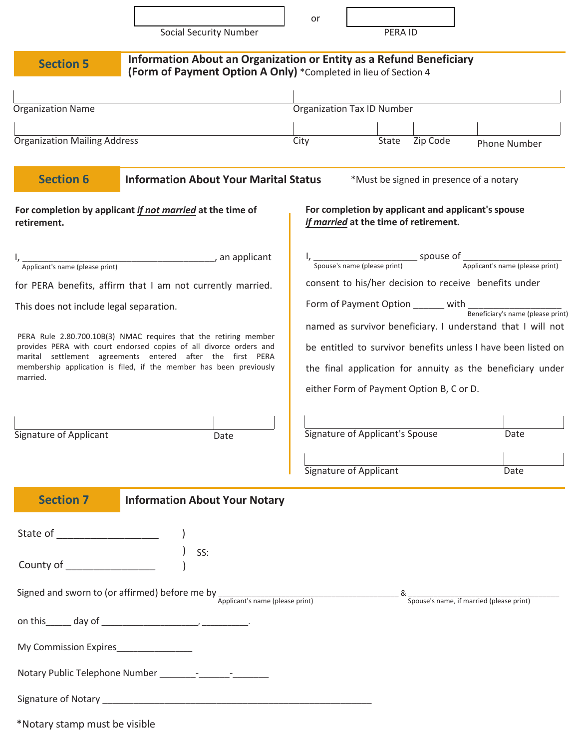|                                                                                                                                                                                                                                                                                        |                                                                                                                                        | or                                                                                                                                                                                                                                                                                                     |                                                                                             |          |                                          |  |
|----------------------------------------------------------------------------------------------------------------------------------------------------------------------------------------------------------------------------------------------------------------------------------------|----------------------------------------------------------------------------------------------------------------------------------------|--------------------------------------------------------------------------------------------------------------------------------------------------------------------------------------------------------------------------------------------------------------------------------------------------------|---------------------------------------------------------------------------------------------|----------|------------------------------------------|--|
|                                                                                                                                                                                                                                                                                        | <b>Social Security Number</b>                                                                                                          |                                                                                                                                                                                                                                                                                                        | PERA ID                                                                                     |          |                                          |  |
| <b>Section 5</b>                                                                                                                                                                                                                                                                       | Information About an Organization or Entity as a Refund Beneficiary<br>(Form of Payment Option A Only) *Completed in lieu of Section 4 |                                                                                                                                                                                                                                                                                                        |                                                                                             |          |                                          |  |
| <b>Organization Name</b>                                                                                                                                                                                                                                                               |                                                                                                                                        |                                                                                                                                                                                                                                                                                                        | <b>Organization Tax ID Number</b>                                                           |          |                                          |  |
| <b>Organization Mailing Address</b>                                                                                                                                                                                                                                                    |                                                                                                                                        | City                                                                                                                                                                                                                                                                                                   | State                                                                                       | Zip Code | <b>Phone Number</b>                      |  |
| <b>Section 6</b>                                                                                                                                                                                                                                                                       | <b>Information About Your Marital Status</b>                                                                                           |                                                                                                                                                                                                                                                                                                        | *Must be signed in presence of a notary                                                     |          |                                          |  |
| retirement.                                                                                                                                                                                                                                                                            | For completion by applicant if not married at the time of                                                                              |                                                                                                                                                                                                                                                                                                        | For completion by applicant and applicant's spouse<br>if married at the time of retirement. |          |                                          |  |
| Applicant's name (please print) example 20 and applicant<br>for PERA benefits, affirm that I am not currently married.<br>This does not include legal separation.                                                                                                                      |                                                                                                                                        | Spouse's name (please print) Spouse of<br>Spouse's name (please print) Applicant's name (please print)<br>consent to his/her decision to receive benefits under<br>Form of Payment Option _______ with Beneficiary's name (please print<br>named as survivor beneficiary. I understand that I will not |                                                                                             |          |                                          |  |
| PERA Rule 2.80.700.10B(3) NMAC requires that the retiring member<br>provides PERA with court endorsed copies of all divorce orders and<br>marital settlement agreements entered after the first PERA<br>membership application is filed, if the member has been previously<br>married. |                                                                                                                                        | be entitled to survivor benefits unless I have been listed on<br>the final application for annuity as the beneficiary under<br>either Form of Payment Option B, C or D.                                                                                                                                |                                                                                             |          |                                          |  |
| <b>Signature of Applicant</b>                                                                                                                                                                                                                                                          | Date                                                                                                                                   |                                                                                                                                                                                                                                                                                                        | Signature of Applicant's Spouse                                                             |          | Date                                     |  |
|                                                                                                                                                                                                                                                                                        |                                                                                                                                        |                                                                                                                                                                                                                                                                                                        | <br>Signature of Applicant                                                                  |          | Date                                     |  |
| <b>Section 7</b>                                                                                                                                                                                                                                                                       | <b>Information About Your Notary</b>                                                                                                   |                                                                                                                                                                                                                                                                                                        |                                                                                             |          |                                          |  |
| State of _______________________                                                                                                                                                                                                                                                       | SS:                                                                                                                                    |                                                                                                                                                                                                                                                                                                        |                                                                                             |          |                                          |  |
|                                                                                                                                                                                                                                                                                        | Signed and sworn to (or affirmed) before me by $\frac{1}{\text{Application's name (please print)}}$ &                                  |                                                                                                                                                                                                                                                                                                        |                                                                                             |          | Spouse's name, if married (please print) |  |
|                                                                                                                                                                                                                                                                                        |                                                                                                                                        |                                                                                                                                                                                                                                                                                                        |                                                                                             |          |                                          |  |
| My Commission Expires_________________                                                                                                                                                                                                                                                 |                                                                                                                                        |                                                                                                                                                                                                                                                                                                        |                                                                                             |          |                                          |  |
|                                                                                                                                                                                                                                                                                        |                                                                                                                                        |                                                                                                                                                                                                                                                                                                        |                                                                                             |          |                                          |  |
|                                                                                                                                                                                                                                                                                        |                                                                                                                                        |                                                                                                                                                                                                                                                                                                        |                                                                                             |          |                                          |  |
| $*$ Notary stamp must be visible                                                                                                                                                                                                                                                       |                                                                                                                                        |                                                                                                                                                                                                                                                                                                        |                                                                                             |          |                                          |  |

Notary stamp must be visible\*